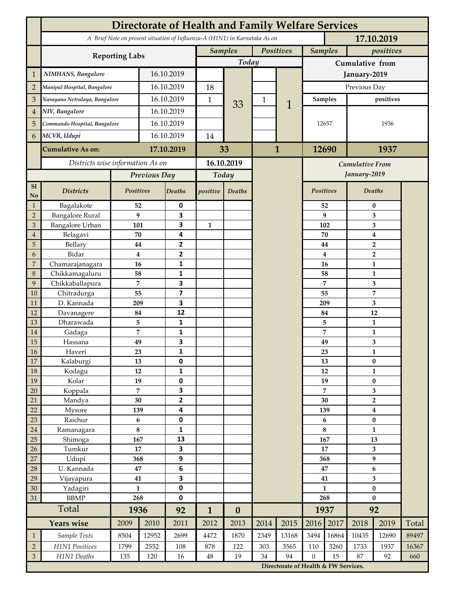|                |                                  |                       |                                                                                                               |                         |                                                                                                                                        |                  |             |              |                 |                        |                                    | 17.10.2019              |       |  |
|----------------|----------------------------------|-----------------------|---------------------------------------------------------------------------------------------------------------|-------------------------|----------------------------------------------------------------------------------------------------------------------------------------|------------------|-------------|--------------|-----------------|------------------------|------------------------------------|-------------------------|-------|--|
|                |                                  |                       |                                                                                                               |                         | <b>Directorate of Health and Family Welfare Services</b><br>A Brief Note on present situation of Influenza-A (H1N1) in Karnataka As on |                  |             |              |                 |                        |                                    |                         |       |  |
|                |                                  | <b>Reporting Labs</b> |                                                                                                               |                         | <b>Samples</b>                                                                                                                         |                  | Positives   |              | <b>Samples</b>  |                        | positives                          |                         |       |  |
|                |                                  |                       |                                                                                                               |                         |                                                                                                                                        | Today            |             |              | Cumulative from |                        |                                    |                         |       |  |
| $\mathbf{1}$   | NIMHANS, Bangalore               |                       |                                                                                                               | 16.10.2019              |                                                                                                                                        |                  |             |              | January-2019    |                        |                                    |                         |       |  |
| $\overline{2}$ | Manipal Hospital, Bangalore      |                       | 16.10.2019                                                                                                    |                         | 18                                                                                                                                     |                  |             |              | Previous Day    |                        |                                    |                         |       |  |
| 3              | Narayana Netralaya, Bangalore    |                       | 16.10.2019                                                                                                    |                         | 1                                                                                                                                      |                  | $\mathbf 1$ |              | Samples         |                        | positives                          |                         |       |  |
| $\overline{4}$ | NIV, Bangalore                   |                       | 16.10.2019                                                                                                    |                         |                                                                                                                                        | 33               |             | 1            |                 |                        |                                    |                         |       |  |
| 5              | Commando Hospital, Bangalore     |                       | 16.10.2019                                                                                                    |                         |                                                                                                                                        |                  |             |              | 12657           |                        | 1936                               |                         |       |  |
| 6              | MCVR, Udupi                      |                       | 16.10.2019                                                                                                    |                         | 14                                                                                                                                     |                  |             |              |                 |                        |                                    |                         |       |  |
|                |                                  |                       |                                                                                                               |                         |                                                                                                                                        |                  |             |              |                 |                        | 1937                               |                         |       |  |
|                | <b>Cumulative As on:</b>         |                       |                                                                                                               | 17.10.2019              |                                                                                                                                        | 33               |             | $\mathbf{1}$ |                 | 12690                  |                                    |                         |       |  |
|                | Districts wise information As on |                       |                                                                                                               |                         |                                                                                                                                        | 16.10.2019       |             |              |                 | <b>Cumulative From</b> |                                    |                         |       |  |
|                |                                  |                       | Previous Day                                                                                                  |                         | Today                                                                                                                                  |                  |             |              |                 |                        |                                    | January-2019            |       |  |
| S1<br>No       | <b>Districts</b>                 | Positives             |                                                                                                               | Deaths                  | positive                                                                                                                               | Deaths           |             |              | Positives       |                        |                                    | Deaths                  |       |  |
| $\mathbf{1}$   | Bagalakote                       | 52                    |                                                                                                               | 0                       |                                                                                                                                        |                  |             |              |                 | 52                     | 0                                  |                         |       |  |
| $\overline{2}$ | <b>Bangalore Rural</b>           | 9                     |                                                                                                               | 3                       | $\mathbf{1}$                                                                                                                           |                  |             |              |                 | 9                      | 3                                  |                         |       |  |
| 3              | Bangalore Urban                  | 101                   |                                                                                                               | 3                       |                                                                                                                                        |                  |             |              | 102             |                        | 3                                  |                         |       |  |
| $\overline{4}$ | Belagavi                         | 70                    |                                                                                                               | 4                       |                                                                                                                                        |                  |             |              |                 | 70                     | $\boldsymbol{4}$<br>$\overline{2}$ |                         |       |  |
| 5<br>6         | Bellary<br>Bidar                 | 44<br>$\bf{4}$        |                                                                                                               | 2<br>$\mathbf{2}$       |                                                                                                                                        |                  |             |              |                 | 44<br>4                |                                    |                         |       |  |
| 7              | Chamarajanagara                  | 16                    |                                                                                                               | 1                       |                                                                                                                                        |                  |             |              |                 | 16                     | $\overline{2}$<br>1                |                         |       |  |
| 8              | Chikkamagaluru<br>58             |                       |                                                                                                               | 1                       |                                                                                                                                        |                  |             |              |                 | 58                     |                                    | 1                       |       |  |
| 9              | Chikkaballapura                  | 7                     |                                                                                                               | 3                       |                                                                                                                                        |                  |             |              |                 | 7                      | 3                                  |                         |       |  |
| 10             | Chitradurga<br>55                |                       |                                                                                                               | $\overline{\mathbf{z}}$ |                                                                                                                                        |                  |             |              |                 | 55                     |                                    | 7                       |       |  |
| 11             | D. Kannada<br>209                |                       |                                                                                                               | 3                       |                                                                                                                                        |                  |             |              |                 | 209                    |                                    | 3                       |       |  |
| 12             | 84<br>Davanagere                 |                       | 12                                                                                                            |                         |                                                                                                                                        |                  |             |              | 84              |                        | 12                                 |                         |       |  |
| 13             | Dharawada<br>5                   |                       |                                                                                                               | $\mathbf{1}$            |                                                                                                                                        |                  |             |              |                 | 5                      |                                    | $\mathbf{1}$            |       |  |
| 14<br>15       | 7<br>Gadaga<br>49<br>Hassana     |                       |                                                                                                               | 1<br>3                  |                                                                                                                                        |                  |             |              |                 | 7<br>49                | 1<br>3                             |                         |       |  |
| <b>16</b>      | Haveri<br>23                     |                       |                                                                                                               | 1                       |                                                                                                                                        |                  |             |              |                 | 23                     |                                    | 1                       |       |  |
| 17             | Kalaburgi<br>13                  |                       |                                                                                                               | 0                       |                                                                                                                                        |                  |             |              |                 | 13                     |                                    | $\pmb{0}$               |       |  |
| 18             | Kodagu<br>12                     |                       |                                                                                                               | $\mathbf{1}$            |                                                                                                                                        |                  |             |              | 12              |                        |                                    | $\mathbf{1}$            |       |  |
| 19             | Kolar                            | 19                    |                                                                                                               | 0                       |                                                                                                                                        |                  |             |              | 19              |                        | $\pmb{0}$                          |                         |       |  |
| 20             | Koppala                          | $\overline{7}$        |                                                                                                               | 3                       |                                                                                                                                        |                  |             |              | 7               |                        | 3                                  |                         |       |  |
| 21             | Mandya                           | $30\,$                |                                                                                                               | $\mathbf{2}$            |                                                                                                                                        |                  |             |              | 30              |                        | $\mathbf 2$                        |                         |       |  |
| 22             | Mysore                           | 139                   |                                                                                                               | 4                       |                                                                                                                                        |                  |             |              | 139             |                        | $\boldsymbol{4}$                   |                         |       |  |
| 23<br>$24\,$   | Raichur<br>Ramanagara            | $\bf 6$<br>8          |                                                                                                               | $\pmb{0}$<br>1          |                                                                                                                                        |                  |             |              | 6<br>8          |                        | $\pmb{0}$<br>$\mathbf{1}$          |                         |       |  |
| 25             | Shimoga                          | 167                   |                                                                                                               | 13                      |                                                                                                                                        |                  |             |              | 167             |                        | 13                                 |                         |       |  |
| 26             | Tumkur                           | 17                    |                                                                                                               | 3                       |                                                                                                                                        |                  |             |              | 17              |                        | 3                                  |                         |       |  |
| 27             | Udupi                            | 368                   |                                                                                                               | 9                       |                                                                                                                                        |                  |             |              | 368             |                        | 9                                  |                         |       |  |
| 28             | U. Kannada                       | $\bf 47$              |                                                                                                               | $\bf 6$                 |                                                                                                                                        |                  |             |              | 47              |                        | $\bf 6$                            |                         |       |  |
| 29             | Vijayapura                       | 41                    |                                                                                                               | 3                       |                                                                                                                                        |                  |             |              | 41              |                        |                                    | $\overline{\mathbf{3}}$ |       |  |
| 30             | Yadagiri                         | $\mathbf{1}$          |                                                                                                               | 0                       |                                                                                                                                        |                  |             |              | $\mathbf{1}$    |                        | $\pmb{0}$                          |                         |       |  |
| 31             | <b>BBMP</b>                      | 268                   |                                                                                                               | 0<br>92                 |                                                                                                                                        |                  |             |              | 268             |                        | $\bf{0}$                           |                         |       |  |
|                | Total<br><b>Years wise</b>       |                       | 1936                                                                                                          |                         | $\mathbf{1}$                                                                                                                           | $\boldsymbol{0}$ |             |              |                 | 1937                   | 92                                 |                         |       |  |
|                |                                  | 2009                  | 2010                                                                                                          | 2011                    | 2012                                                                                                                                   | 2013             | 2014        | 2015         | 2016            | 2017                   | 2018                               | 2019                    | Total |  |
| $\mathbf{1}$   | Sample Tests                     | 8504                  | 12952                                                                                                         | 2699                    | 4472                                                                                                                                   | 1870             | 2349        | 13168        | 3494            | 16864                  | 10435                              | 12690                   | 89497 |  |
| $\overline{2}$ | H1N1 Positives                   | 1799                  | 2552                                                                                                          | 108                     | 878                                                                                                                                    | 122              | 303         | 3565         | 110             | 3260                   | 1733                               | 1937                    | 16367 |  |
| $\mathfrak{Z}$ | H1N1 Deaths                      | 135                   | 19<br>94<br>$\boldsymbol{0}$<br>15<br>120<br>16<br>$48\,$<br>34<br>87<br>Directorate of Health & FW Services. |                         |                                                                                                                                        |                  |             |              | 92              | 660                    |                                    |                         |       |  |